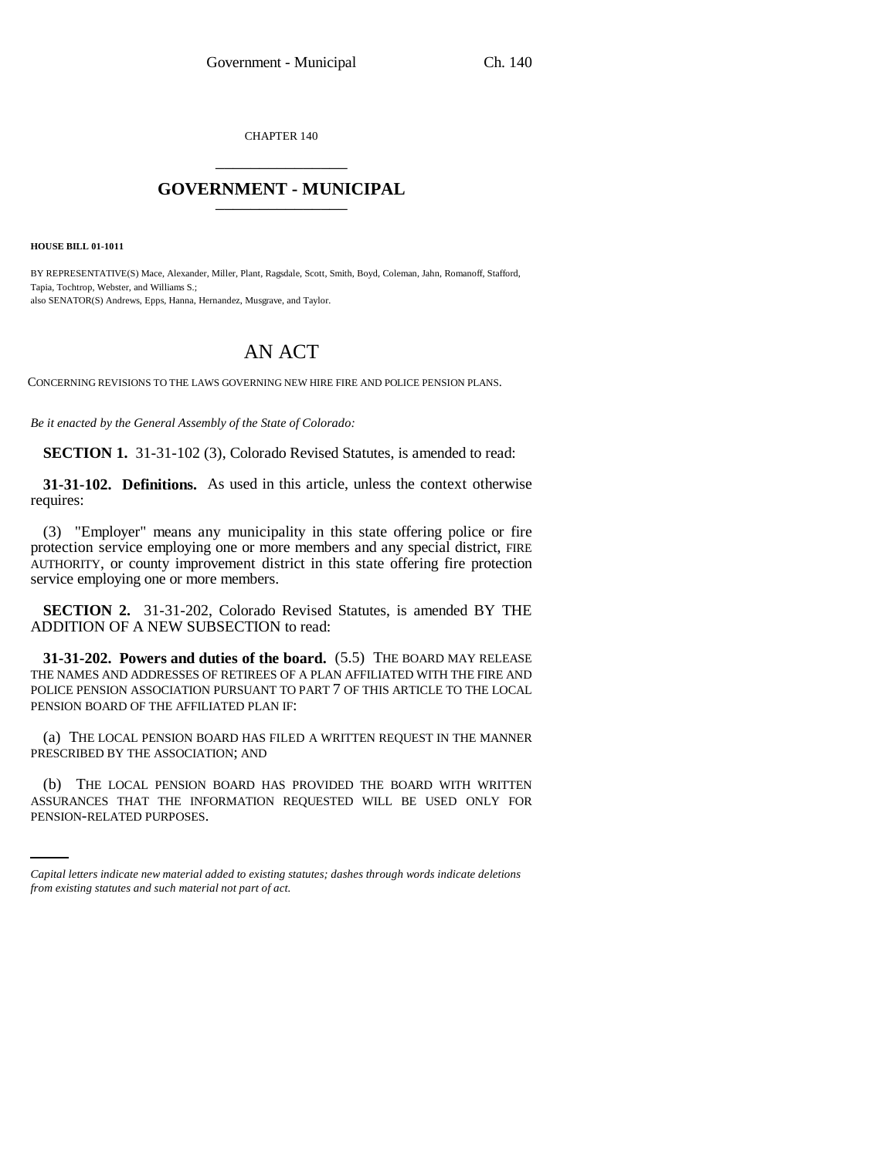CHAPTER 140 \_\_\_\_\_\_\_\_\_\_\_\_\_\_\_

## **GOVERNMENT - MUNICIPAL** \_\_\_\_\_\_\_\_\_\_\_\_\_\_\_

**HOUSE BILL 01-1011**

BY REPRESENTATIVE(S) Mace, Alexander, Miller, Plant, Ragsdale, Scott, Smith, Boyd, Coleman, Jahn, Romanoff, Stafford, Tapia, Tochtrop, Webster, and Williams S.; also SENATOR(S) Andrews, Epps, Hanna, Hernandez, Musgrave, and Taylor.

# AN ACT

CONCERNING REVISIONS TO THE LAWS GOVERNING NEW HIRE FIRE AND POLICE PENSION PLANS.

*Be it enacted by the General Assembly of the State of Colorado:*

**SECTION 1.** 31-31-102 (3), Colorado Revised Statutes, is amended to read:

**31-31-102. Definitions.** As used in this article, unless the context otherwise requires:

(3) "Employer" means any municipality in this state offering police or fire protection service employing one or more members and any special district, FIRE AUTHORITY, or county improvement district in this state offering fire protection service employing one or more members.

**SECTION 2.** 31-31-202, Colorado Revised Statutes, is amended BY THE ADDITION OF A NEW SUBSECTION to read:

**31-31-202. Powers and duties of the board.** (5.5) THE BOARD MAY RELEASE THE NAMES AND ADDRESSES OF RETIREES OF A PLAN AFFILIATED WITH THE FIRE AND POLICE PENSION ASSOCIATION PURSUANT TO PART 7 OF THIS ARTICLE TO THE LOCAL PENSION BOARD OF THE AFFILIATED PLAN IF:

(a) THE LOCAL PENSION BOARD HAS FILED A WRITTEN REQUEST IN THE MANNER PRESCRIBED BY THE ASSOCIATION; AND

(b) THE LOCAL PENSION BOARD HAS PROVIDED THE BOARD WITH WRITTEN ASSURANCES THAT THE INFORMATION REQUESTED WILL BE USED ONLY FOR PENSION-RELATED PURPOSES.

*Capital letters indicate new material added to existing statutes; dashes through words indicate deletions from existing statutes and such material not part of act.*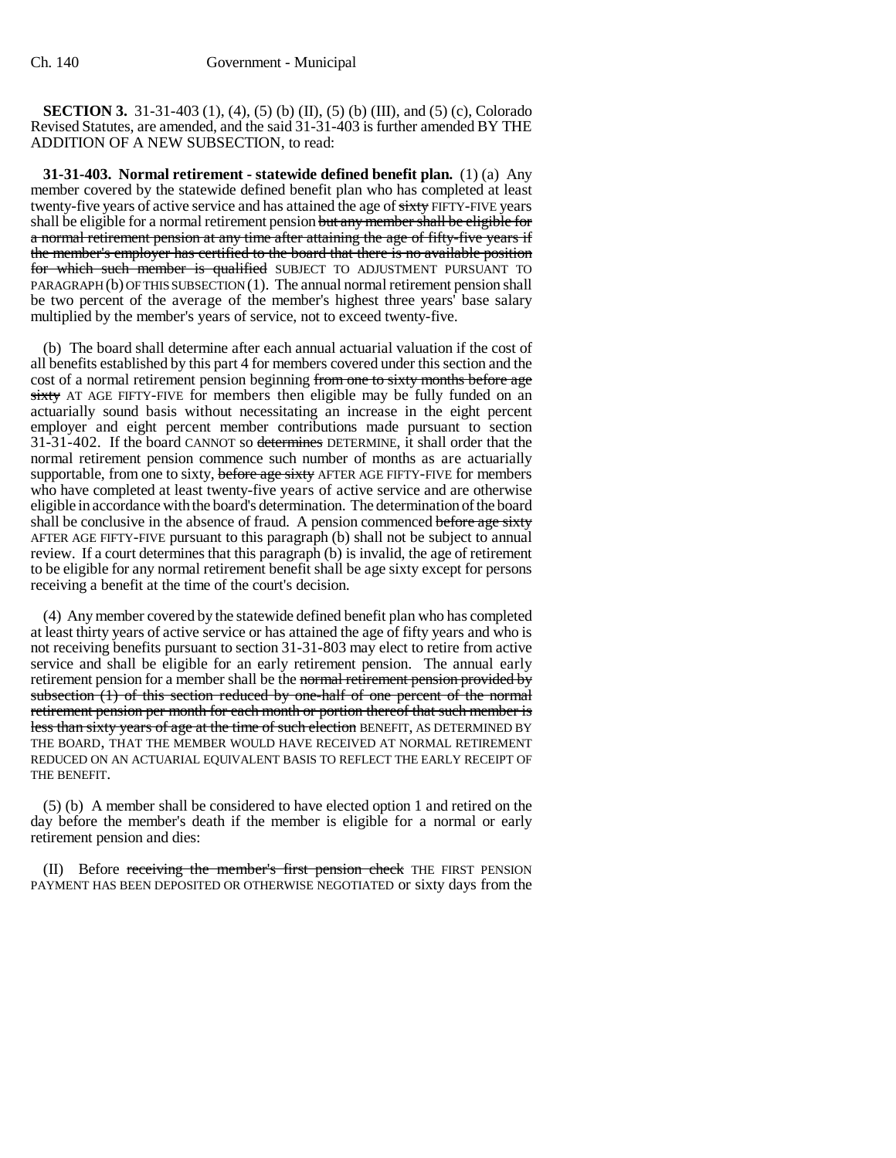**SECTION 3.** 31-31-403 (1), (4), (5) (b) (II), (5) (b) (III), and (5) (c), Colorado Revised Statutes, are amended, and the said 31-31-403 is further amended BY THE ADDITION OF A NEW SUBSECTION, to read:

**31-31-403. Normal retirement - statewide defined benefit plan.** (1) (a) Any member covered by the statewide defined benefit plan who has completed at least twenty-five years of active service and has attained the age of sixty FIFTY-FIVE years shall be eligible for a normal retirement pension but any member shall be eligible for a normal retirement pension at any time after attaining the age of fifty-five years if the member's employer has certified to the board that there is no available position for which such member is qualified SUBJECT TO ADJUSTMENT PURSUANT TO  $PARAGRAPH$  (b) OF THIS SUBSECTION (1). The annual normal retirement pension shall be two percent of the average of the member's highest three years' base salary multiplied by the member's years of service, not to exceed twenty-five.

(b) The board shall determine after each annual actuarial valuation if the cost of all benefits established by this part 4 for members covered under this section and the cost of a normal retirement pension beginning from one to sixty months before age sixty AT AGE FIFTY-FIVE for members then eligible may be fully funded on an actuarially sound basis without necessitating an increase in the eight percent employer and eight percent member contributions made pursuant to section 31-31-402. If the board CANNOT so determines DETERMINE, it shall order that the normal retirement pension commence such number of months as are actuarially supportable, from one to sixty, before age sixty AFTER AGE FIFTY-FIVE for members who have completed at least twenty-five years of active service and are otherwise eligible in accordance with the board's determination. The determination of the board shall be conclusive in the absence of fraud. A pension commenced before age sixty AFTER AGE FIFTY-FIVE pursuant to this paragraph (b) shall not be subject to annual review. If a court determines that this paragraph (b) is invalid, the age of retirement to be eligible for any normal retirement benefit shall be age sixty except for persons receiving a benefit at the time of the court's decision.

(4) Any member covered by the statewide defined benefit plan who has completed at least thirty years of active service or has attained the age of fifty years and who is not receiving benefits pursuant to section 31-31-803 may elect to retire from active service and shall be eligible for an early retirement pension. The annual early retirement pension for a member shall be the normal retirement pension provided by subsection (1) of this section reduced by one-half of one percent of the normal retirement pension per month for each month or portion thereof that such member is less than sixty years of age at the time of such election BENEFIT, AS DETERMINED BY THE BOARD, THAT THE MEMBER WOULD HAVE RECEIVED AT NORMAL RETIREMENT REDUCED ON AN ACTUARIAL EQUIVALENT BASIS TO REFLECT THE EARLY RECEIPT OF THE BENEFIT.

(5) (b) A member shall be considered to have elected option 1 and retired on the day before the member's death if the member is eligible for a normal or early retirement pension and dies:

(II) Before receiving the member's first pension check THE FIRST PENSION PAYMENT HAS BEEN DEPOSITED OR OTHERWISE NEGOTIATED or sixty days from the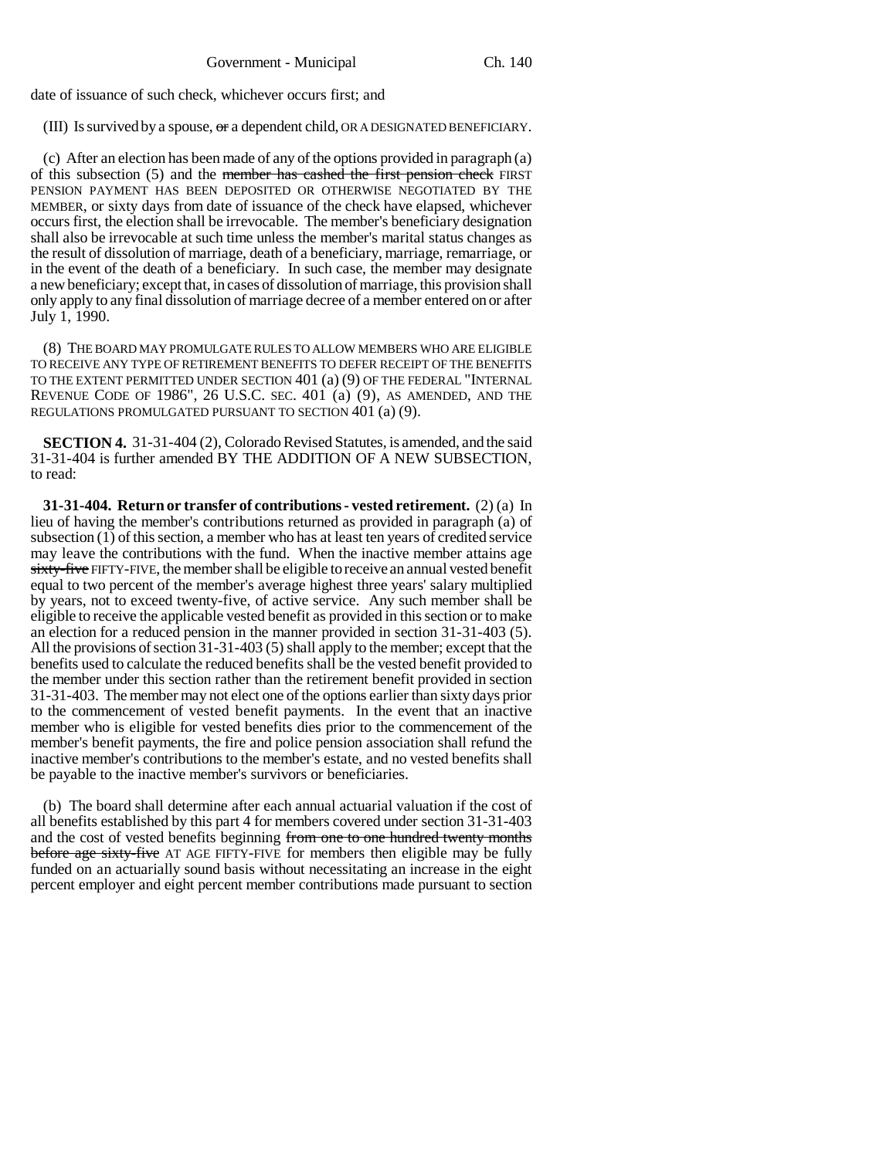date of issuance of such check, whichever occurs first; and

(III) Is survived by a spouse,  $\sigma r$  a dependent child, OR A DESIGNATED BENEFICIARY.

(c) After an election has been made of any of the options provided in paragraph (a) of this subsection (5) and the member has cashed the first pension check FIRST PENSION PAYMENT HAS BEEN DEPOSITED OR OTHERWISE NEGOTIATED BY THE MEMBER, or sixty days from date of issuance of the check have elapsed, whichever occurs first, the election shall be irrevocable. The member's beneficiary designation shall also be irrevocable at such time unless the member's marital status changes as the result of dissolution of marriage, death of a beneficiary, marriage, remarriage, or in the event of the death of a beneficiary. In such case, the member may designate a new beneficiary; except that, in cases of dissolution of marriage, this provision shall only apply to any final dissolution of marriage decree of a member entered on or after July 1, 1990.

(8) THE BOARD MAY PROMULGATE RULES TO ALLOW MEMBERS WHO ARE ELIGIBLE TO RECEIVE ANY TYPE OF RETIREMENT BENEFITS TO DEFER RECEIPT OF THE BENEFITS TO THE EXTENT PERMITTED UNDER SECTION 401 (a) (9) OF THE FEDERAL "INTERNAL REVENUE CODE OF 1986", 26 U.S.C. SEC. 401 (a) (9), AS AMENDED, AND THE REGULATIONS PROMULGATED PURSUANT TO SECTION 401 (a) (9).

**SECTION 4.** 31-31-404 (2), Colorado Revised Statutes, is amended, and the said 31-31-404 is further amended BY THE ADDITION OF A NEW SUBSECTION, to read:

**31-31-404. Return or transfer of contributions - vested retirement.** (2) (a) In lieu of having the member's contributions returned as provided in paragraph (a) of subsection  $(1)$  of this section, a member who has at least ten years of credited service may leave the contributions with the fund. When the inactive member attains age sixty-five FIFTY-FIVE, the member shall be eligible to receive an annual vested benefit equal to two percent of the member's average highest three years' salary multiplied by years, not to exceed twenty-five, of active service. Any such member shall be eligible to receive the applicable vested benefit as provided in this section or to make an election for a reduced pension in the manner provided in section 31-31-403 (5). All the provisions of section 31-31-403 (5) shall apply to the member; except that the benefits used to calculate the reduced benefits shall be the vested benefit provided to the member under this section rather than the retirement benefit provided in section 31-31-403. The member may not elect one of the options earlier than sixty days prior to the commencement of vested benefit payments. In the event that an inactive member who is eligible for vested benefits dies prior to the commencement of the member's benefit payments, the fire and police pension association shall refund the inactive member's contributions to the member's estate, and no vested benefits shall be payable to the inactive member's survivors or beneficiaries.

(b) The board shall determine after each annual actuarial valuation if the cost of all benefits established by this part 4 for members covered under section 31-31-403 and the cost of vested benefits beginning from one to one hundred twenty months before age sixty-five AT AGE FIFTY-FIVE for members then eligible may be fully funded on an actuarially sound basis without necessitating an increase in the eight percent employer and eight percent member contributions made pursuant to section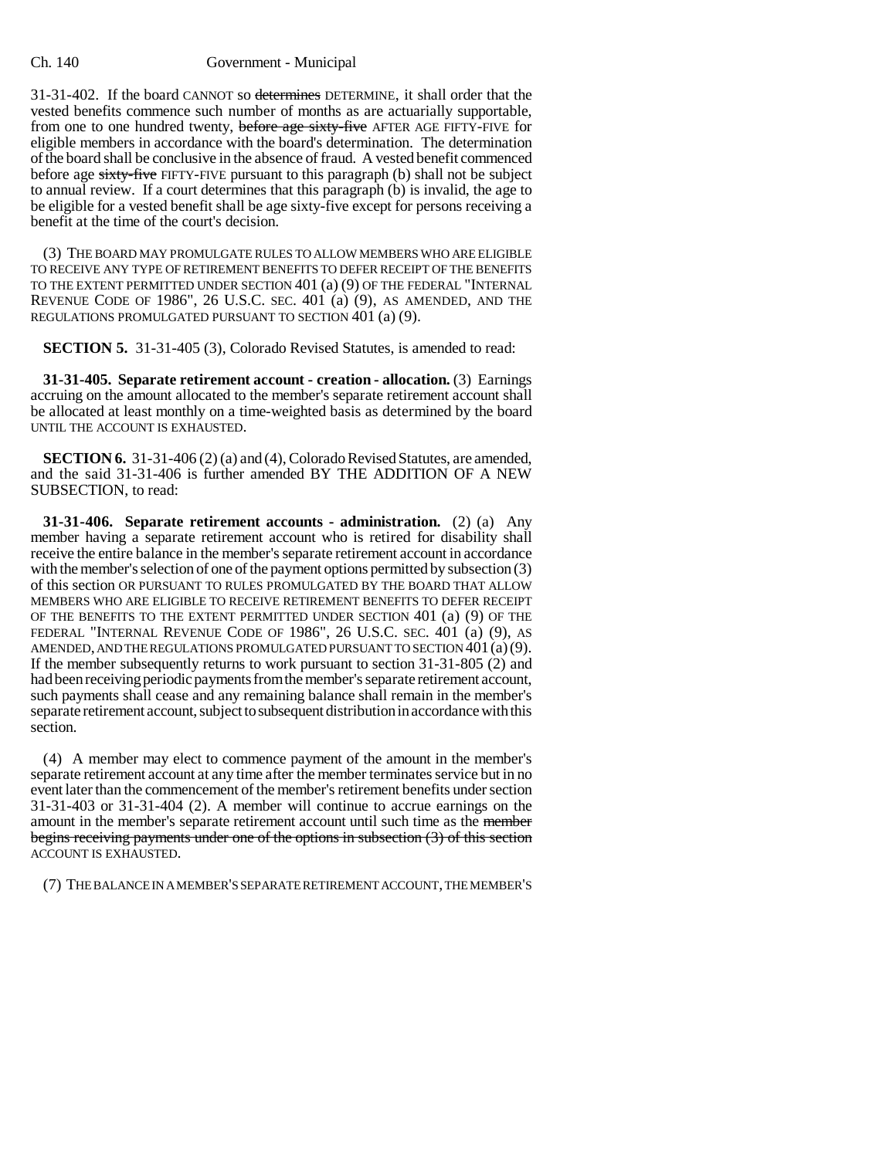#### Ch. 140 Government - Municipal

31-31-402. If the board CANNOT so determines DETERMINE, it shall order that the vested benefits commence such number of months as are actuarially supportable, from one to one hundred twenty, before age sixty-five AFTER AGE FIFTY-FIVE for eligible members in accordance with the board's determination. The determination of the board shall be conclusive in the absence of fraud. A vested benefit commenced before age sixty-five FIFTY-FIVE pursuant to this paragraph (b) shall not be subject to annual review. If a court determines that this paragraph (b) is invalid, the age to be eligible for a vested benefit shall be age sixty-five except for persons receiving a benefit at the time of the court's decision.

(3) THE BOARD MAY PROMULGATE RULES TO ALLOW MEMBERS WHO ARE ELIGIBLE TO RECEIVE ANY TYPE OF RETIREMENT BENEFITS TO DEFER RECEIPT OF THE BENEFITS TO THE EXTENT PERMITTED UNDER SECTION 401 (a) (9) OF THE FEDERAL "INTERNAL REVENUE CODE OF 1986", 26 U.S.C. SEC. 401 (a) (9), AS AMENDED, AND THE REGULATIONS PROMULGATED PURSUANT TO SECTION 401 (a) (9).

**SECTION 5.** 31-31-405 (3), Colorado Revised Statutes, is amended to read:

**31-31-405. Separate retirement account - creation - allocation.** (3) Earnings accruing on the amount allocated to the member's separate retirement account shall be allocated at least monthly on a time-weighted basis as determined by the board UNTIL THE ACCOUNT IS EXHAUSTED.

**SECTION 6.** 31-31-406 (2) (a) and (4), Colorado Revised Statutes, are amended, and the said 31-31-406 is further amended BY THE ADDITION OF A NEW SUBSECTION, to read:

**31-31-406. Separate retirement accounts - administration.** (2) (a) Any member having a separate retirement account who is retired for disability shall receive the entire balance in the member's separate retirement account in accordance with the member's selection of one of the payment options permitted by subsection (3) of this section OR PURSUANT TO RULES PROMULGATED BY THE BOARD THAT ALLOW MEMBERS WHO ARE ELIGIBLE TO RECEIVE RETIREMENT BENEFITS TO DEFER RECEIPT OF THE BENEFITS TO THE EXTENT PERMITTED UNDER SECTION 401 (a) (9) OF THE FEDERAL "INTERNAL REVENUE CODE OF 1986", 26 U.S.C. SEC. 401 (a) (9), AS AMENDED, AND THE REGULATIONS PROMULGATED PURSUANT TO SECTION  $401(a)(9)$ . If the member subsequently returns to work pursuant to section 31-31-805 (2) and had been receiving periodic payments from the member's separate retirement account, such payments shall cease and any remaining balance shall remain in the member's separate retirement account, subject to subsequent distribution in accordance with this section.

(4) A member may elect to commence payment of the amount in the member's separate retirement account at any time after the member terminates service but in no event later than the commencement of the member's retirement benefits under section 31-31-403 or 31-31-404 (2). A member will continue to accrue earnings on the amount in the member's separate retirement account until such time as the member begins receiving payments under one of the options in subsection (3) of this section ACCOUNT IS EXHAUSTED.

(7) THE BALANCE IN A MEMBER'S SEPARATE RETIREMENT ACCOUNT, THE MEMBER'S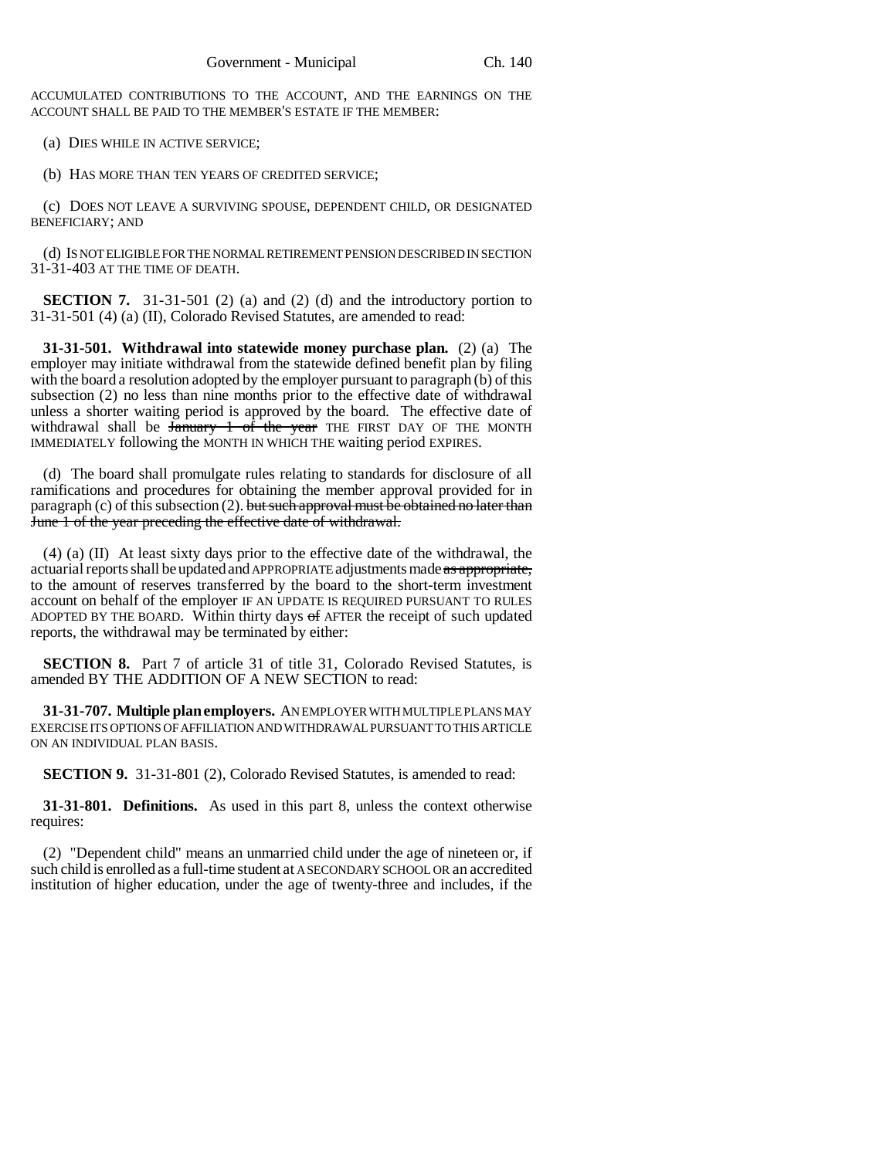ACCUMULATED CONTRIBUTIONS TO THE ACCOUNT, AND THE EARNINGS ON THE ACCOUNT SHALL BE PAID TO THE MEMBER'S ESTATE IF THE MEMBER:

(a) DIES WHILE IN ACTIVE SERVICE;

(b) HAS MORE THAN TEN YEARS OF CREDITED SERVICE;

(c) DOES NOT LEAVE A SURVIVING SPOUSE, DEPENDENT CHILD, OR DESIGNATED BENEFICIARY; AND

(d) IS NOT ELIGIBLE FOR THE NORMAL RETIREMENT PENSION DESCRIBED IN SECTION 31-31-403 AT THE TIME OF DEATH.

**SECTION 7.** 31-31-501 (2) (a) and (2) (d) and the introductory portion to 31-31-501 (4) (a) (II), Colorado Revised Statutes, are amended to read:

**31-31-501. Withdrawal into statewide money purchase plan.** (2) (a) The employer may initiate withdrawal from the statewide defined benefit plan by filing with the board a resolution adopted by the employer pursuant to paragraph (b) of this subsection (2) no less than nine months prior to the effective date of withdrawal unless a shorter waiting period is approved by the board. The effective date of withdrawal shall be  $\frac{1}{2}$  of the year THE FIRST DAY OF THE MONTH IMMEDIATELY following the MONTH IN WHICH THE waiting period EXPIRES.

(d) The board shall promulgate rules relating to standards for disclosure of all ramifications and procedures for obtaining the member approval provided for in paragraph  $(c)$  of this subsection  $(2)$ . but such approval must be obtained no later than June 1 of the year preceding the effective date of withdrawal.

(4) (a) (II) At least sixty days prior to the effective date of the withdrawal, the actuarial reports shall be updated and APPROPRIATE adjustments made as appropriate, to the amount of reserves transferred by the board to the short-term investment account on behalf of the employer IF AN UPDATE IS REQUIRED PURSUANT TO RULES ADOPTED BY THE BOARD. Within thirty days  $\sigma$  f AFTER the receipt of such updated reports, the withdrawal may be terminated by either:

**SECTION 8.** Part 7 of article 31 of title 31, Colorado Revised Statutes, is amended BY THE ADDITION OF A NEW SECTION to read:

**31-31-707. Multiple plan employers.** AN EMPLOYER WITH MULTIPLE PLANS MAY EXERCISE ITS OPTIONS OF AFFILIATION AND WITHDRAWAL PURSUANT TO THIS ARTICLE ON AN INDIVIDUAL PLAN BASIS.

**SECTION 9.** 31-31-801 (2), Colorado Revised Statutes, is amended to read:

**31-31-801. Definitions.** As used in this part 8, unless the context otherwise requires:

(2) "Dependent child" means an unmarried child under the age of nineteen or, if such child is enrolled as a full-time student at A SECONDARY SCHOOL OR an accredited institution of higher education, under the age of twenty-three and includes, if the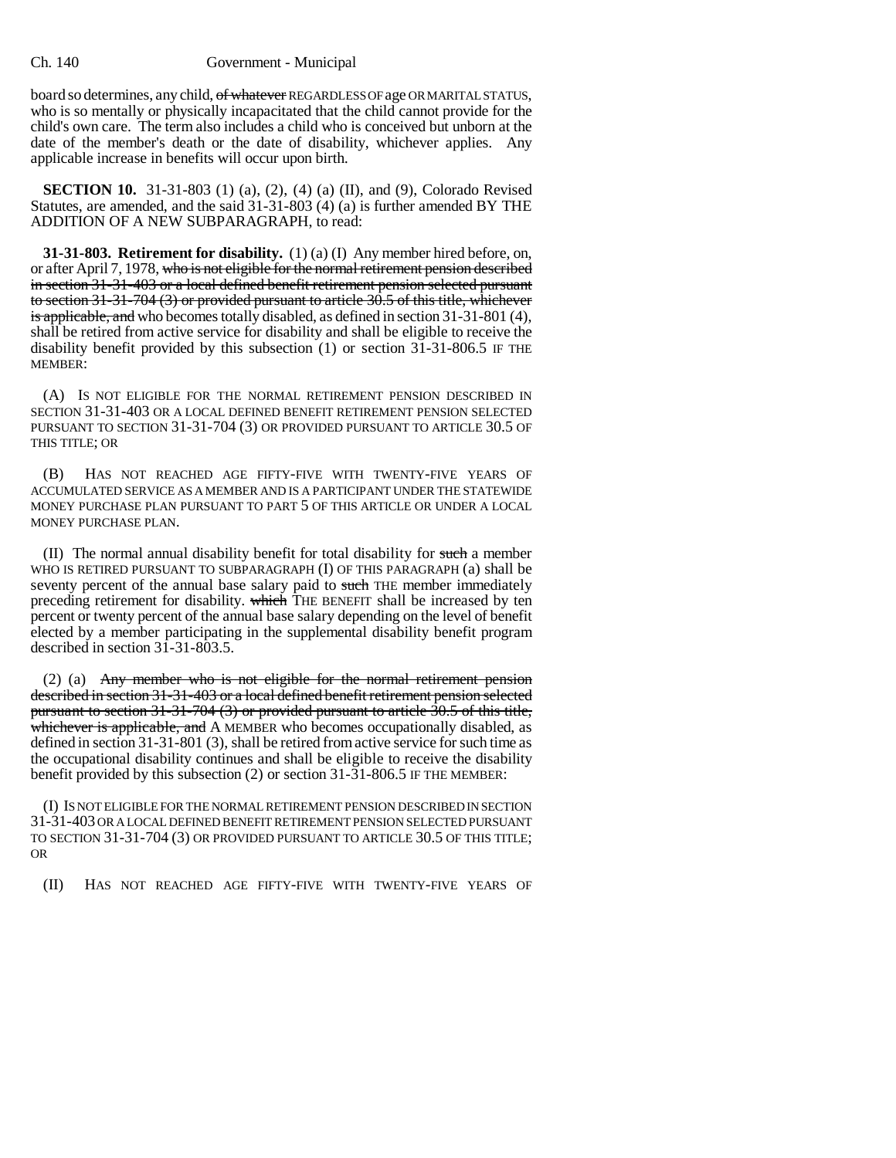board so determines, any child, of whatever REGARDLESS OF age OR MARITAL STATUS, who is so mentally or physically incapacitated that the child cannot provide for the child's own care. The term also includes a child who is conceived but unborn at the date of the member's death or the date of disability, whichever applies. Any applicable increase in benefits will occur upon birth.

**SECTION 10.** 31-31-803 (1) (a), (2), (4) (a) (II), and (9), Colorado Revised Statutes, are amended, and the said 31-31-803 (4) (a) is further amended BY THE ADDITION OF A NEW SUBPARAGRAPH, to read:

**31-31-803. Retirement for disability.** (1) (a) (I) Any member hired before, on, or after April 7, 1978, who is not eligible for the normal retirement pension described in section 31-31-403 or a local defined benefit retirement pension selected pursuant to section 31-31-704 (3) or provided pursuant to article 30.5 of this title, whichever is applicable, and who becomes totally disabled, as defined in section  $31-31-801$  (4), shall be retired from active service for disability and shall be eligible to receive the disability benefit provided by this subsection (1) or section 31-31-806.5 IF THE MEMBER:

(A) IS NOT ELIGIBLE FOR THE NORMAL RETIREMENT PENSION DESCRIBED IN SECTION 31-31-403 OR A LOCAL DEFINED BENEFIT RETIREMENT PENSION SELECTED PURSUANT TO SECTION 31-31-704 (3) OR PROVIDED PURSUANT TO ARTICLE 30.5 OF THIS TITLE; OR

(B) HAS NOT REACHED AGE FIFTY-FIVE WITH TWENTY-FIVE YEARS OF ACCUMULATED SERVICE AS A MEMBER AND IS A PARTICIPANT UNDER THE STATEWIDE MONEY PURCHASE PLAN PURSUANT TO PART 5 OF THIS ARTICLE OR UNDER A LOCAL MONEY PURCHASE PLAN.

(II) The normal annual disability benefit for total disability for such a member WHO IS RETIRED PURSUANT TO SUBPARAGRAPH (I) OF THIS PARAGRAPH (a) shall be seventy percent of the annual base salary paid to such THE member immediately preceding retirement for disability. which THE BENEFIT shall be increased by ten percent or twenty percent of the annual base salary depending on the level of benefit elected by a member participating in the supplemental disability benefit program described in section 31-31-803.5.

(2) (a) Any member who is not eligible for the normal retirement pension described in section 31-31-403 or a local defined benefit retirement pension selected pursuant to section 31-31-704 (3) or provided pursuant to article 30.5 of this title, whichever is applicable, and A MEMBER who becomes occupationally disabled, as defined in section 31-31-801 (3), shall be retired from active service for such time as the occupational disability continues and shall be eligible to receive the disability benefit provided by this subsection (2) or section 31-31-806.5 IF THE MEMBER:

(I) IS NOT ELIGIBLE FOR THE NORMAL RETIREMENT PENSION DESCRIBED IN SECTION 31-31-403 OR A LOCAL DEFINED BENEFIT RETIREMENT PENSION SELECTED PURSUANT TO SECTION 31-31-704 (3) OR PROVIDED PURSUANT TO ARTICLE 30.5 OF THIS TITLE; OR

(II) HAS NOT REACHED AGE FIFTY-FIVE WITH TWENTY-FIVE YEARS OF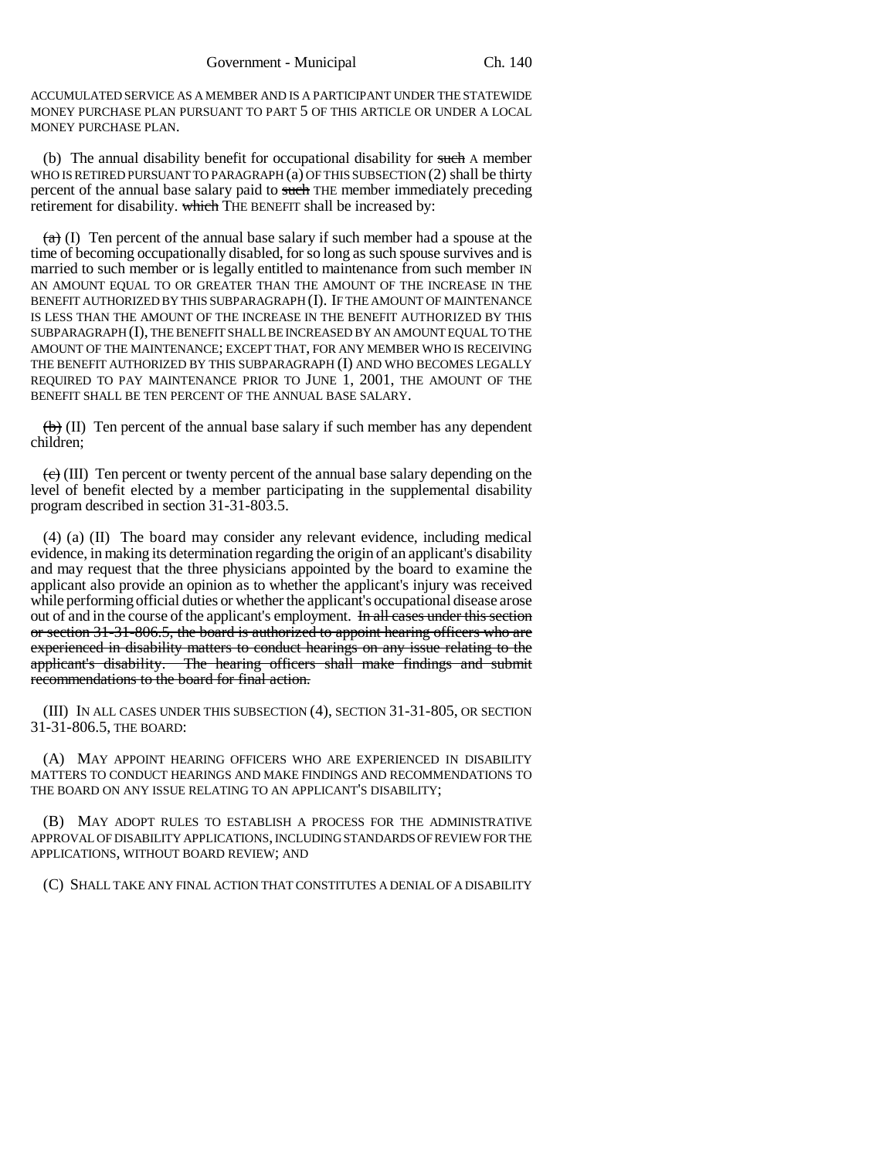ACCUMULATED SERVICE AS A MEMBER AND IS A PARTICIPANT UNDER THE STATEWIDE MONEY PURCHASE PLAN PURSUANT TO PART 5 OF THIS ARTICLE OR UNDER A LOCAL MONEY PURCHASE PLAN.

(b) The annual disability benefit for occupational disability for such A member WHO IS RETIRED PURSUANT TO PARAGRAPH (a) OF THIS SUBSECTION (2) shall be thirty percent of the annual base salary paid to such THE member immediately preceding retirement for disability. which THE BENEFIT shall be increased by:

 $(a)$  (I) Ten percent of the annual base salary if such member had a spouse at the time of becoming occupationally disabled, for so long as such spouse survives and is married to such member or is legally entitled to maintenance from such member IN AN AMOUNT EQUAL TO OR GREATER THAN THE AMOUNT OF THE INCREASE IN THE BENEFIT AUTHORIZED BY THIS SUBPARAGRAPH (I). IF THE AMOUNT OF MAINTENANCE IS LESS THAN THE AMOUNT OF THE INCREASE IN THE BENEFIT AUTHORIZED BY THIS SUBPARAGRAPH (I), THE BENEFIT SHALL BE INCREASED BY AN AMOUNT EQUAL TO THE AMOUNT OF THE MAINTENANCE; EXCEPT THAT, FOR ANY MEMBER WHO IS RECEIVING THE BENEFIT AUTHORIZED BY THIS SUBPARAGRAPH (I) AND WHO BECOMES LEGALLY REQUIRED TO PAY MAINTENANCE PRIOR TO JUNE 1, 2001, THE AMOUNT OF THE BENEFIT SHALL BE TEN PERCENT OF THE ANNUAL BASE SALARY.

 $\left(\frac{b}{b}\right)$  (II) Ten percent of the annual base salary if such member has any dependent children;

 $\left(\frac{e}{c}\right)$  (III) Ten percent or twenty percent of the annual base salary depending on the level of benefit elected by a member participating in the supplemental disability program described in section 31-31-803.5.

(4) (a) (II) The board may consider any relevant evidence, including medical evidence, in making its determination regarding the origin of an applicant's disability and may request that the three physicians appointed by the board to examine the applicant also provide an opinion as to whether the applicant's injury was received while performing official duties or whether the applicant's occupational disease arose out of and in the course of the applicant's employment. In all cases under this section or section 31-31-806.5, the board is authorized to appoint hearing officers who are experienced in disability matters to conduct hearings on any issue relating to the applicant's disability. The hearing officers shall make findings and submit recommendations to the board for final action.

(III) IN ALL CASES UNDER THIS SUBSECTION (4), SECTION 31-31-805, OR SECTION 31-31-806.5, THE BOARD:

(A) MAY APPOINT HEARING OFFICERS WHO ARE EXPERIENCED IN DISABILITY MATTERS TO CONDUCT HEARINGS AND MAKE FINDINGS AND RECOMMENDATIONS TO THE BOARD ON ANY ISSUE RELATING TO AN APPLICANT'S DISABILITY;

(B) MAY ADOPT RULES TO ESTABLISH A PROCESS FOR THE ADMINISTRATIVE APPROVAL OF DISABILITY APPLICATIONS, INCLUDING STANDARDS OF REVIEW FOR THE APPLICATIONS, WITHOUT BOARD REVIEW; AND

(C) SHALL TAKE ANY FINAL ACTION THAT CONSTITUTES A DENIAL OF A DISABILITY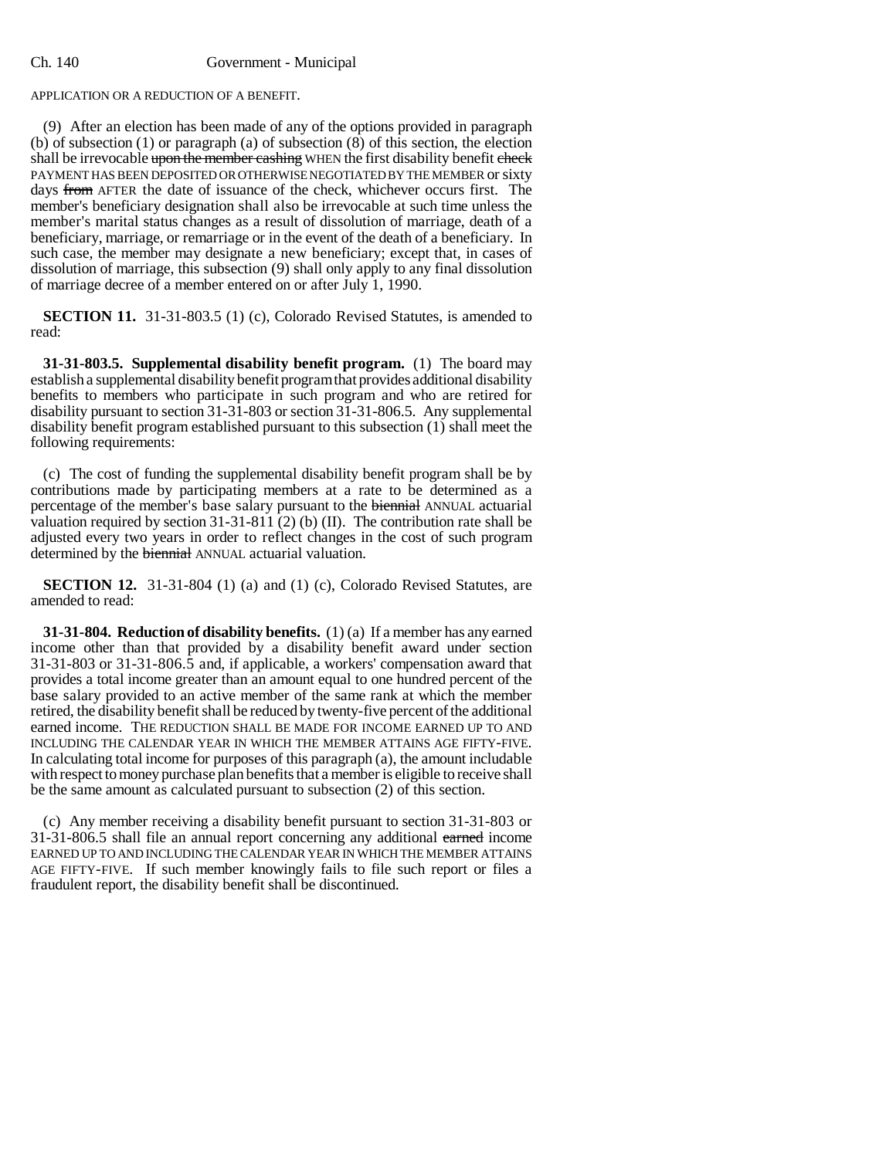#### Ch. 140 Government - Municipal

### APPLICATION OR A REDUCTION OF A BENEFIT.

(9) After an election has been made of any of the options provided in paragraph (b) of subsection (1) or paragraph (a) of subsection  $(8)$  of this section, the election shall be irrevocable upon the member cashing WHEN the first disability benefit check PAYMENT HAS BEEN DEPOSITED OR OTHERWISE NEGOTIATED BY THE MEMBER or sixty days from AFTER the date of issuance of the check, whichever occurs first. The member's beneficiary designation shall also be irrevocable at such time unless the member's marital status changes as a result of dissolution of marriage, death of a beneficiary, marriage, or remarriage or in the event of the death of a beneficiary. In such case, the member may designate a new beneficiary; except that, in cases of dissolution of marriage, this subsection (9) shall only apply to any final dissolution of marriage decree of a member entered on or after July 1, 1990.

**SECTION 11.** 31-31-803.5 (1) (c), Colorado Revised Statutes, is amended to read:

**31-31-803.5. Supplemental disability benefit program.** (1) The board may establish a supplemental disability benefit program that provides additional disability benefits to members who participate in such program and who are retired for disability pursuant to section 31-31-803 or section 31-31-806.5. Any supplemental disability benefit program established pursuant to this subsection (1) shall meet the following requirements:

(c) The cost of funding the supplemental disability benefit program shall be by contributions made by participating members at a rate to be determined as a percentage of the member's base salary pursuant to the biennial ANNUAL actuarial valuation required by section  $31-31-811$  (2) (b) (II). The contribution rate shall be adjusted every two years in order to reflect changes in the cost of such program determined by the biennial ANNUAL actuarial valuation.

**SECTION 12.** 31-31-804 (1) (a) and (1) (c), Colorado Revised Statutes, are amended to read:

**31-31-804. Reduction of disability benefits.** (1) (a) If a member has any earned income other than that provided by a disability benefit award under section 31-31-803 or 31-31-806.5 and, if applicable, a workers' compensation award that provides a total income greater than an amount equal to one hundred percent of the base salary provided to an active member of the same rank at which the member retired, the disability benefit shall be reduced by twenty-five percent of the additional earned income. THE REDUCTION SHALL BE MADE FOR INCOME EARNED UP TO AND INCLUDING THE CALENDAR YEAR IN WHICH THE MEMBER ATTAINS AGE FIFTY-FIVE. In calculating total income for purposes of this paragraph (a), the amount includable with respect to money purchase plan benefits that a member is eligible to receive shall be the same amount as calculated pursuant to subsection (2) of this section.

(c) Any member receiving a disability benefit pursuant to section 31-31-803 or 31-31-806.5 shall file an annual report concerning any additional earned income EARNED UP TO AND INCLUDING THE CALENDAR YEAR IN WHICH THE MEMBER ATTAINS AGE FIFTY-FIVE. If such member knowingly fails to file such report or files a fraudulent report, the disability benefit shall be discontinued.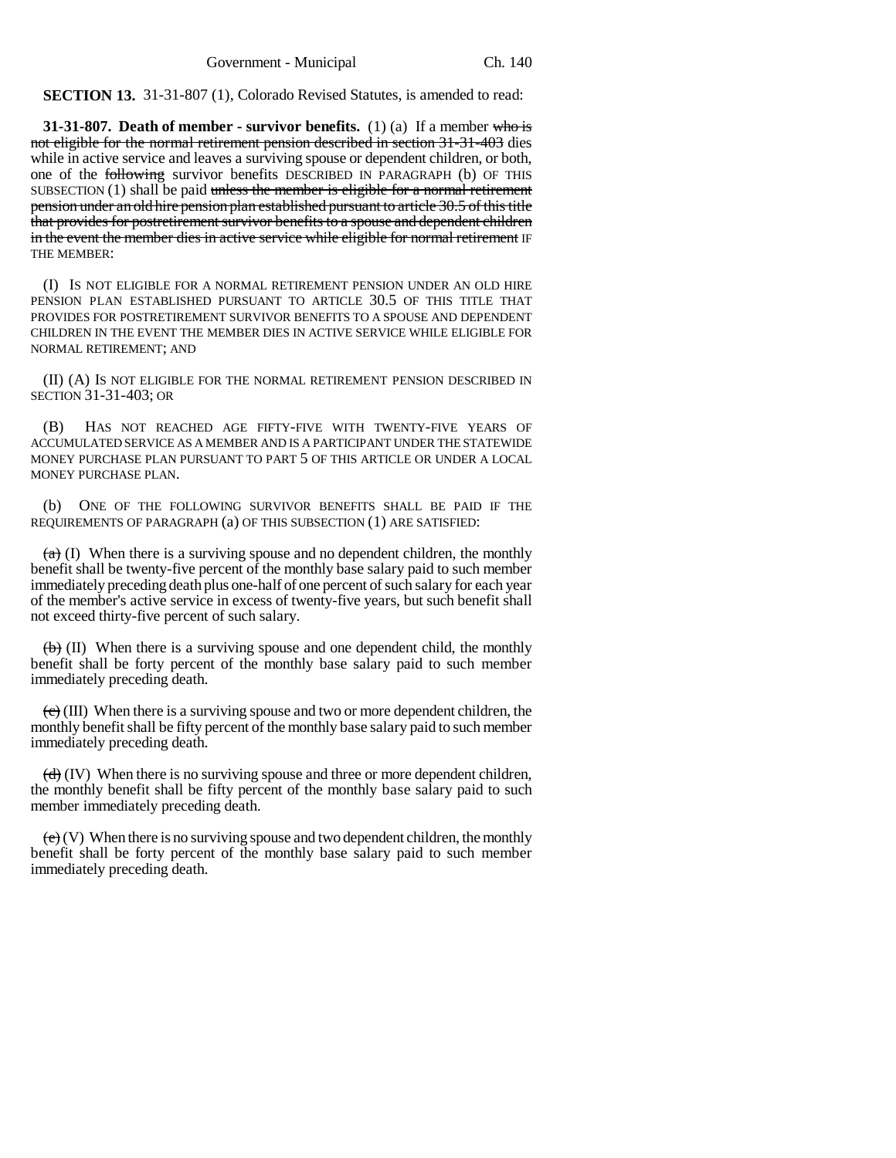**SECTION 13.** 31-31-807 (1), Colorado Revised Statutes, is amended to read:

**31-31-807. Death of member - survivor benefits.** (1) (a) If a member who is not eligible for the normal retirement pension described in section 31-31-403 dies while in active service and leaves a surviving spouse or dependent children, or both, one of the following survivor benefits DESCRIBED IN PARAGRAPH (b) OF THIS SUBSECTION  $(1)$  shall be paid unless the member is eligible for a normal retirement pension under an old hire pension plan established pursuant to article 30.5 of this title that provides for postretirement survivor benefits to a spouse and dependent children in the event the member dies in active service while eligible for normal retirement IF THE MEMBER:

(I) IS NOT ELIGIBLE FOR A NORMAL RETIREMENT PENSION UNDER AN OLD HIRE PENSION PLAN ESTABLISHED PURSUANT TO ARTICLE 30.5 OF THIS TITLE THAT PROVIDES FOR POSTRETIREMENT SURVIVOR BENEFITS TO A SPOUSE AND DEPENDENT CHILDREN IN THE EVENT THE MEMBER DIES IN ACTIVE SERVICE WHILE ELIGIBLE FOR NORMAL RETIREMENT; AND

(II) (A) IS NOT ELIGIBLE FOR THE NORMAL RETIREMENT PENSION DESCRIBED IN SECTION 31-31-403; OR

(B) HAS NOT REACHED AGE FIFTY-FIVE WITH TWENTY-FIVE YEARS OF ACCUMULATED SERVICE AS A MEMBER AND IS A PARTICIPANT UNDER THE STATEWIDE MONEY PURCHASE PLAN PURSUANT TO PART 5 OF THIS ARTICLE OR UNDER A LOCAL MONEY PURCHASE PLAN.

(b) ONE OF THE FOLLOWING SURVIVOR BENEFITS SHALL BE PAID IF THE REQUIREMENTS OF PARAGRAPH (a) OF THIS SUBSECTION (1) ARE SATISFIED:

 $(a)$  (I) When there is a surviving spouse and no dependent children, the monthly benefit shall be twenty-five percent of the monthly base salary paid to such member immediately preceding death plus one-half of one percent of such salary for each year of the member's active service in excess of twenty-five years, but such benefit shall not exceed thirty-five percent of such salary.

 $\langle \theta \rangle$  (II) When there is a surviving spouse and one dependent child, the monthly benefit shall be forty percent of the monthly base salary paid to such member immediately preceding death.

 $\left(\frac{e}{c}\right)$  (III) When there is a surviving spouse and two or more dependent children, the monthly benefit shall be fifty percent of the monthly base salary paid to such member immediately preceding death.

 $\left(\frac{d}{d}\right)$  (IV) When there is no surviving spouse and three or more dependent children, the monthly benefit shall be fifty percent of the monthly base salary paid to such member immediately preceding death.

 $(e)$  (V) When there is no surviving spouse and two dependent children, the monthly benefit shall be forty percent of the monthly base salary paid to such member immediately preceding death.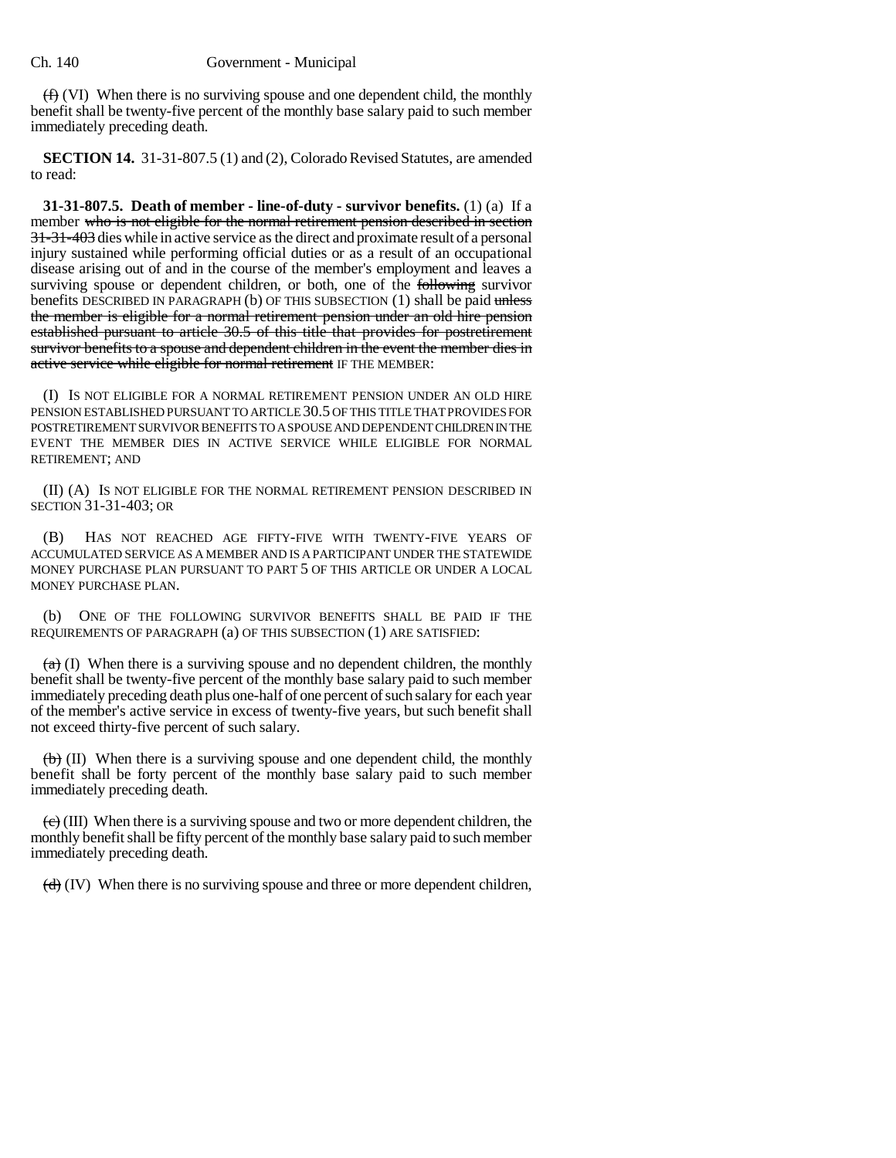$(f)$  (VI) When there is no surviving spouse and one dependent child, the monthly benefit shall be twenty-five percent of the monthly base salary paid to such member immediately preceding death.

**SECTION 14.** 31-31-807.5 (1) and (2), Colorado Revised Statutes, are amended to read:

**31-31-807.5. Death of member - line-of-duty - survivor benefits.** (1) (a) If a member who is not eligible for the normal retirement pension described in section 31-31-403 dies while in active service as the direct and proximate result of a personal injury sustained while performing official duties or as a result of an occupational disease arising out of and in the course of the member's employment and leaves a surviving spouse or dependent children, or both, one of the **following** survivor benefits DESCRIBED IN PARAGRAPH (b) OF THIS SUBSECTION (1) shall be paid unless the member is eligible for a normal retirement pension under an old hire pension established pursuant to article 30.5 of this title that provides for postretirement survivor benefits to a spouse and dependent children in the event the member dies in active service while eligible for normal retirement IF THE MEMBER:

(I) IS NOT ELIGIBLE FOR A NORMAL RETIREMENT PENSION UNDER AN OLD HIRE PENSION ESTABLISHED PURSUANT TO ARTICLE 30.5 OF THIS TITLE THAT PROVIDES FOR POSTRETIREMENT SURVIVOR BENEFITS TO A SPOUSE AND DEPENDENT CHILDREN IN THE EVENT THE MEMBER DIES IN ACTIVE SERVICE WHILE ELIGIBLE FOR NORMAL RETIREMENT; AND

(II) (A) IS NOT ELIGIBLE FOR THE NORMAL RETIREMENT PENSION DESCRIBED IN SECTION 31-31-403; OR

(B) HAS NOT REACHED AGE FIFTY-FIVE WITH TWENTY-FIVE YEARS OF ACCUMULATED SERVICE AS A MEMBER AND IS A PARTICIPANT UNDER THE STATEWIDE MONEY PURCHASE PLAN PURSUANT TO PART 5 OF THIS ARTICLE OR UNDER A LOCAL MONEY PURCHASE PLAN.

(b) ONE OF THE FOLLOWING SURVIVOR BENEFITS SHALL BE PAID IF THE REQUIREMENTS OF PARAGRAPH (a) OF THIS SUBSECTION (1) ARE SATISFIED:

 $(a)$  (I) When there is a surviving spouse and no dependent children, the monthly benefit shall be twenty-five percent of the monthly base salary paid to such member immediately preceding death plus one-half of one percent of such salary for each year of the member's active service in excess of twenty-five years, but such benefit shall not exceed thirty-five percent of such salary.

 $\left(\frac{1}{b}\right)$  (II) When there is a surviving spouse and one dependent child, the monthly benefit shall be forty percent of the monthly base salary paid to such member immediately preceding death.

 $\langle \overrightarrow{e} \rangle$  (III) When there is a surviving spouse and two or more dependent children, the monthly benefit shall be fifty percent of the monthly base salary paid to such member immediately preceding death.

 $\left(\frac{d}{d}\right)$  (IV) When there is no surviving spouse and three or more dependent children,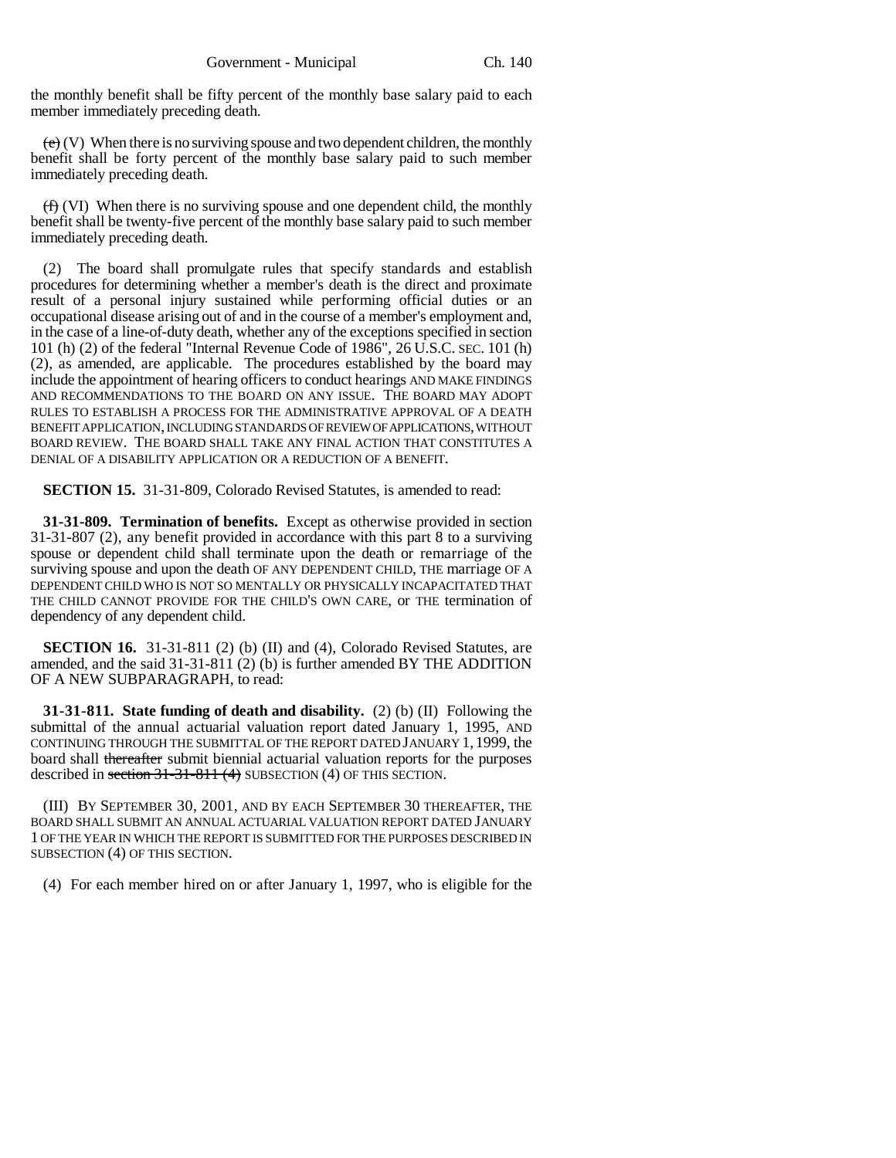the monthly benefit shall be fifty percent of the monthly base salary paid to each member immediately preceding death.

 $(e)$  (V) When there is no surviving spouse and two dependent children, the monthly benefit shall be forty percent of the monthly base salary paid to such member immediately preceding death.

 $(f)$  (VI) When there is no surviving spouse and one dependent child, the monthly benefit shall be twenty-five percent of the monthly base salary paid to such member immediately preceding death.

(2) The board shall promulgate rules that specify standards and establish procedures for determining whether a member's death is the direct and proximate result of a personal injury sustained while performing official duties or an occupational disease arising out of and in the course of a member's employment and, in the case of a line-of-duty death, whether any of the exceptions specified in section 101 (h) (2) of the federal "Internal Revenue Code of 1986", 26 U.S.C. SEC. 101 (h) (2), as amended, are applicable. The procedures established by the board may include the appointment of hearing officers to conduct hearings AND MAKE FINDINGS AND RECOMMENDATIONS TO THE BOARD ON ANY ISSUE. THE BOARD MAY ADOPT RULES TO ESTABLISH A PROCESS FOR THE ADMINISTRATIVE APPROVAL OF A DEATH BENEFIT APPLICATION, INCLUDING STANDARDS OF REVIEW OF APPLICATIONS, WITHOUT BOARD REVIEW. THE BOARD SHALL TAKE ANY FINAL ACTION THAT CONSTITUTES A DENIAL OF A DISABILITY APPLICATION OR A REDUCTION OF A BENEFIT.

**SECTION 15.** 31-31-809, Colorado Revised Statutes, is amended to read:

**31-31-809. Termination of benefits.** Except as otherwise provided in section 31-31-807 (2), any benefit provided in accordance with this part 8 to a surviving spouse or dependent child shall terminate upon the death or remarriage of the surviving spouse and upon the death OF ANY DEPENDENT CHILD, THE marriage OF A DEPENDENT CHILD WHO IS NOT SO MENTALLY OR PHYSICALLY INCAPACITATED THAT THE CHILD CANNOT PROVIDE FOR THE CHILD'S OWN CARE, or THE termination of dependency of any dependent child.

**SECTION 16.** 31-31-811 (2) (b) (II) and (4), Colorado Revised Statutes, are amended, and the said 31-31-811 (2) (b) is further amended BY THE ADDITION OF A NEW SUBPARAGRAPH, to read:

**31-31-811. State funding of death and disability.** (2) (b) (II) Following the submittal of the annual actuarial valuation report dated January 1, 1995, AND CONTINUING THROUGH THE SUBMITTAL OF THE REPORT DATED JANUARY 1, 1999, the board shall thereafter submit biennial actuarial valuation reports for the purposes described in section 31-31-811 (4) SUBSECTION (4) OF THIS SECTION.

(III) BY SEPTEMBER 30, 2001, AND BY EACH SEPTEMBER 30 THEREAFTER, THE BOARD SHALL SUBMIT AN ANNUAL ACTUARIAL VALUATION REPORT DATED JANUARY 1 OF THE YEAR IN WHICH THE REPORT IS SUBMITTED FOR THE PURPOSES DESCRIBED IN SUBSECTION (4) OF THIS SECTION.

(4) For each member hired on or after January 1, 1997, who is eligible for the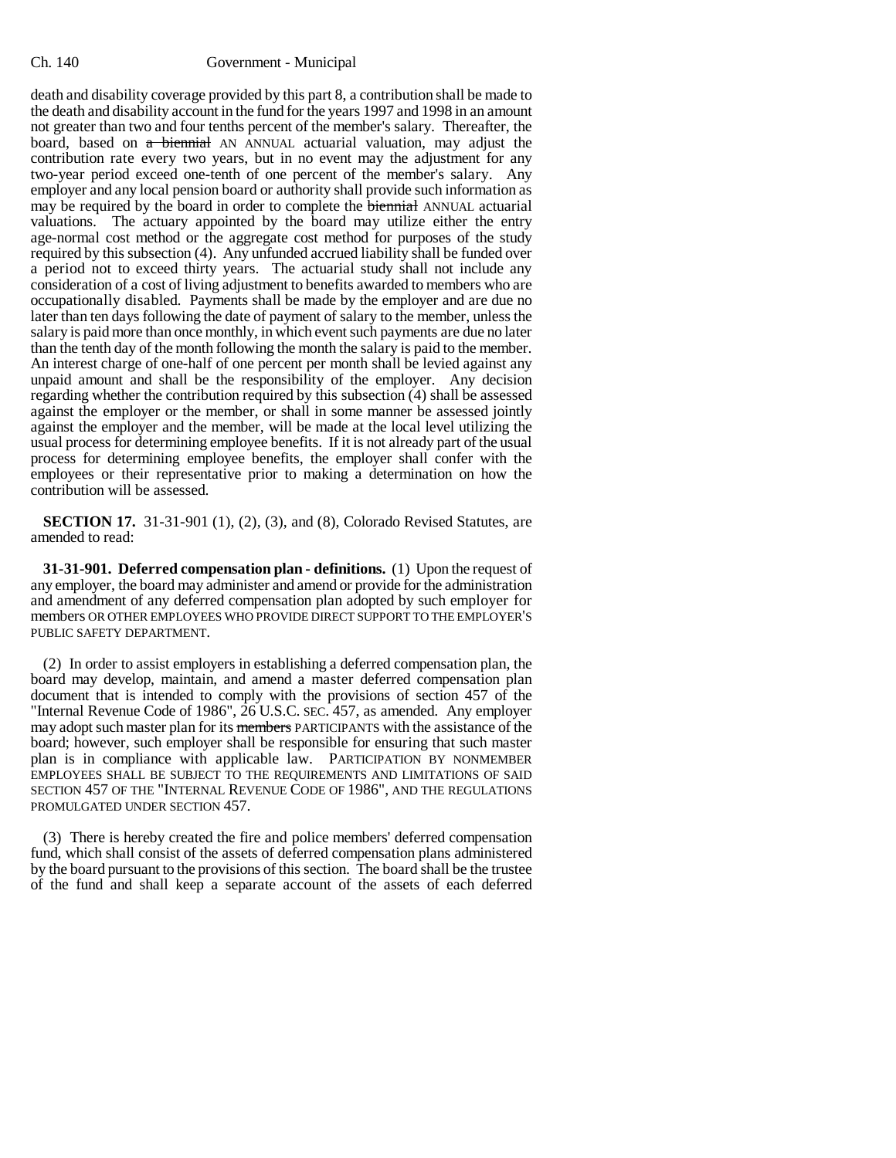death and disability coverage provided by this part 8, a contribution shall be made to the death and disability account in the fund for the years 1997 and 1998 in an amount not greater than two and four tenths percent of the member's salary. Thereafter, the board, based on a biennial AN ANNUAL actuarial valuation, may adjust the contribution rate every two years, but in no event may the adjustment for any two-year period exceed one-tenth of one percent of the member's salary. Any employer and any local pension board or authority shall provide such information as may be required by the board in order to complete the **biennial** ANNUAL actuarial valuations. The actuary appointed by the board may utilize either the entry age-normal cost method or the aggregate cost method for purposes of the study required by this subsection (4). Any unfunded accrued liability shall be funded over a period not to exceed thirty years. The actuarial study shall not include any consideration of a cost of living adjustment to benefits awarded to members who are occupationally disabled. Payments shall be made by the employer and are due no later than ten days following the date of payment of salary to the member, unless the salary is paid more than once monthly, in which event such payments are due no later than the tenth day of the month following the month the salary is paid to the member. An interest charge of one-half of one percent per month shall be levied against any unpaid amount and shall be the responsibility of the employer. Any decision regarding whether the contribution required by this subsection (4) shall be assessed against the employer or the member, or shall in some manner be assessed jointly against the employer and the member, will be made at the local level utilizing the usual process for determining employee benefits. If it is not already part of the usual process for determining employee benefits, the employer shall confer with the employees or their representative prior to making a determination on how the contribution will be assessed.

**SECTION 17.** 31-31-901 (1), (2), (3), and (8), Colorado Revised Statutes, are amended to read:

**31-31-901. Deferred compensation plan - definitions.** (1) Upon the request of any employer, the board may administer and amend or provide for the administration and amendment of any deferred compensation plan adopted by such employer for members OR OTHER EMPLOYEES WHO PROVIDE DIRECT SUPPORT TO THE EMPLOYER'S PUBLIC SAFETY DEPARTMENT.

(2) In order to assist employers in establishing a deferred compensation plan, the board may develop, maintain, and amend a master deferred compensation plan document that is intended to comply with the provisions of section 457 of the "Internal Revenue Code of 1986", 26 U.S.C. SEC. 457, as amended. Any employer may adopt such master plan for its members PARTICIPANTS with the assistance of the board; however, such employer shall be responsible for ensuring that such master plan is in compliance with applicable law. PARTICIPATION BY NONMEMBER EMPLOYEES SHALL BE SUBJECT TO THE REQUIREMENTS AND LIMITATIONS OF SAID SECTION 457 OF THE "INTERNAL REVENUE CODE OF 1986", AND THE REGULATIONS PROMULGATED UNDER SECTION 457.

(3) There is hereby created the fire and police members' deferred compensation fund, which shall consist of the assets of deferred compensation plans administered by the board pursuant to the provisions of this section. The board shall be the trustee of the fund and shall keep a separate account of the assets of each deferred